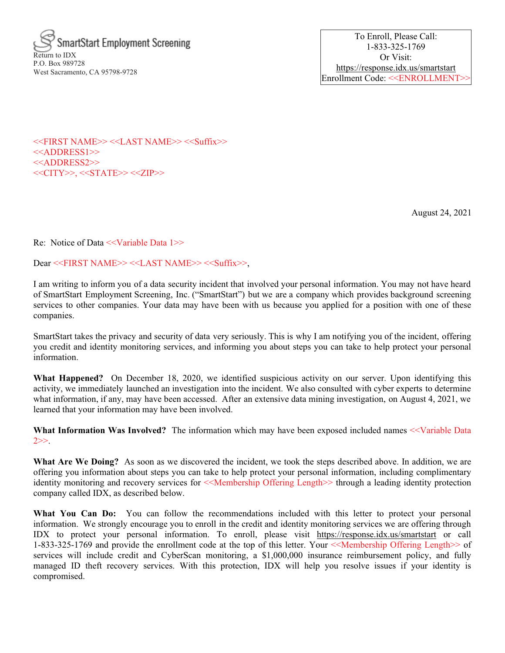

To Enroll, Please Call: 1-833-325-1769 Or Visit: https://response.idx.us/smartstart Enrollment Code: <<ENROLLMENT>>

<<FIRST NAME>> <<LAST NAME>> <<Suffix>> <<ADDRESS1>> <<ADDRESS2>> <<CITY>>, <<STATE>> <<ZIP>>

August 24, 2021

Re: Notice of Data <<Variable Data 1>>

Dear <<FIRST NAME>> <<LAST NAME>> <<Suffix>>,

I am writing to inform you of a data security incident that involved your personal information. You may not have heard of SmartStart Employment Screening, Inc. ("SmartStart") but we are a company which provides background screening services to other companies. Your data may have been with us because you applied for a position with one of these companies.

SmartStart takes the privacy and security of data very seriously. This is why I am notifying you of the incident, offering you credit and identity monitoring services, and informing you about steps you can take to help protect your personal information.

What Happened? On December 18, 2020, we identified suspicious activity on our server. Upon identifying this activity, we immediately launched an investigation into the incident. We also consulted with cyber experts to determine what information, if any, may have been accessed. After an extensive data mining investigation, on August 4, 2021, we learned that your information may have been involved.

What Information Was Involved? The information which may have been exposed included names <<Variable Data  $2 >>.$ 

What Are We Doing? As soon as we discovered the incident, we took the steps described above. In addition, we are offering you information about steps you can take to help protect your personal information, including complimentary identity monitoring and recovery services for  $\leq$ Membership Offering Length  $\geq$  through a leading identity protection company called IDX, as described below.

What You Can Do: You can follow the recommendations included with this letter to protect your personal information. We strongly encourage you to enroll in the credit and identity monitoring services we are offering through IDX to protect your personal information. To enroll, please visit https://response.idx.us/smartstart or call 1-833-325-1769 and provide the enrollment code at the top of this letter. Your <<Membership Offering Length>> of services will include credit and CyberScan monitoring, a \$1,000,000 insurance reimbursement policy, and fully managed ID theft recovery services. With this protection, IDX will help you resolve issues if your identity is compromised.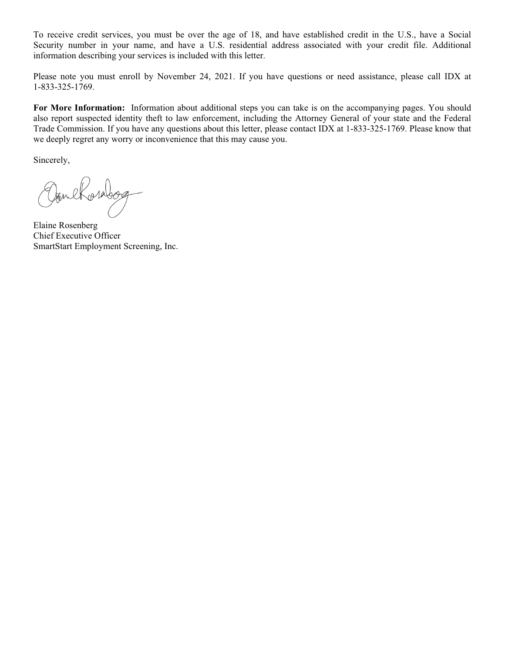To receive credit services, you must be over the age of 18, and have established credit in the U.S., have a Social Security number in your name, and have a U.S. residential address associated with your credit file. Additional information describing your services is included with this letter.

Please note you must enroll by November 24, 2021. If you have questions or need assistance, please call IDX at 1-833-325-1769.

For More Information: Information about additional steps you can take is on the accompanying pages. You should also report suspected identity theft to law enforcement, including the Attorney General of your state and the Federal Trade Commission. If you have any questions about this letter, please contact IDX at 1-833-325-1769. Please know that we deeply regret any worry or inconvenience that this may cause you.

Sincerely,

OaneRosabog

Elaine Rosenberg Chief Executive Officer SmartStart Employment Screening, Inc.